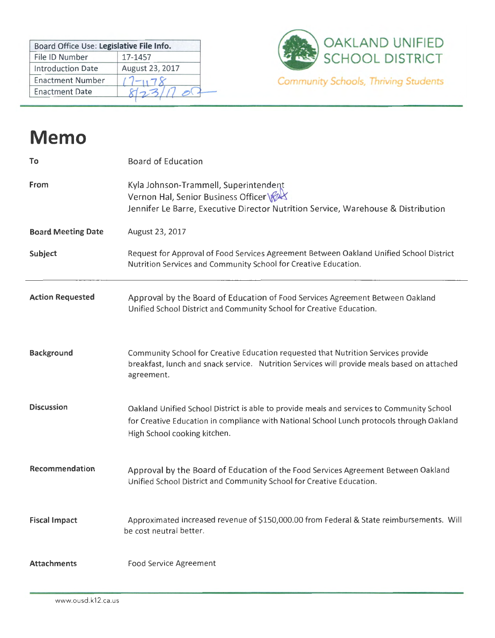| Board Office Use: Legislative File Info. |                 |
|------------------------------------------|-----------------|
| File ID Number                           | 17-1457         |
| <b>Introduction Date</b>                 | August 23, 2017 |
| <b>Enactment Number</b>                  |                 |
| <b>Enactment Date</b>                    |                 |



## **Memo**

| To                        | <b>Board of Education</b>                                                                                                                                                                                              |
|---------------------------|------------------------------------------------------------------------------------------------------------------------------------------------------------------------------------------------------------------------|
| From                      | Kyla Johnson-Trammell, Superintendent<br>Vernon Hal, Senior Business Officer \<br>Jennifer Le Barre, Executive Director Nutrition Service, Warehouse & Distribution                                                    |
| <b>Board Meeting Date</b> | August 23, 2017                                                                                                                                                                                                        |
| Subject                   | Request for Approval of Food Services Agreement Between Oakland Unified School District<br>Nutrition Services and Community School for Creative Education.                                                             |
| <b>Action Requested</b>   | Approval by the Board of Education of Food Services Agreement Between Oakland<br>Unified School District and Community School for Creative Education.                                                                  |
| <b>Background</b>         | Community School for Creative Education requested that Nutrition Services provide<br>breakfast, lunch and snack service. Nutrition Services will provide meals based on attached<br>agreement.                         |
| <b>Discussion</b>         | Oakland Unified School District is able to provide meals and services to Community School<br>for Creative Education in compliance with National School Lunch protocols through Oakland<br>High School cooking kitchen. |
| Recommendation            | Approval by the Board of Education of the Food Services Agreement Between Oakland<br>Unified School District and Community School for Creative Education.                                                              |
| <b>Fiscal Impact</b>      | Approximated increased revenue of \$150,000.00 from Federal & State reimbursements. Will<br>be cost neutral better.                                                                                                    |
| <b>Attachments</b>        | <b>Food Service Agreement</b>                                                                                                                                                                                          |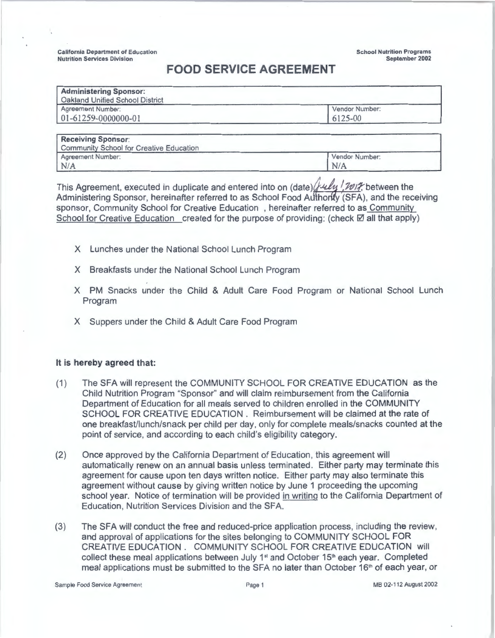California Department of Education Nutrition Services Division

School **Nutrition Programs September 2002** 

## **FOOD SERVICE AGREEMENT**

| Vendor Number: |
|----------------|
| 6125-00        |
|                |

| <b>Receiving Sponsor:</b>               |                |  |
|-----------------------------------------|----------------|--|
| Community School for Creative Education |                |  |
| Agreement Number:                       | Vendor Number: |  |
| N/A                                     | N/A            |  |

This Agreement, executed in duplicate and entered into on (date) bullet 100 F, between the Administering Sponsor, hereinafter referred to as School Food Authority (SFA), and the receiving sponsor, Community School for Creative Education , hereinafter referred to as Community School for Creative Education created for the purpose of providing: (check  $\boxtimes$  all that apply)

- X Lunches under the National School Lunch Program
- X Breakfasts under the National School Lunch Program
- X PM Snacks under the Child & Adult Care Food Program or National School Lunch Program
- X Suppers under the Child & Adult Care Food Program

## **It is hereby agreed that:**

- (1) The SFA will represent the COMMUNITY SCHOOL FOR CREATIVE EDUCATION as the Child Nutrition Program "Sponsor" and will claim reimbursement from the California Department of Education for all meals served to children enrolled in the COMMUNITY SCHOOL FOR CREATIVE EDUCATION . Reimbursement will be claimed at the rate of one breakfast/lunch/snack per child per day, only for complete meals/snacks counted at the point of service, and according to each child's eligibility category.
- (2) Once approved by the California Department of Education, this agreement will automatically renew on an annual basis unless terminated. Either party may terminate this agreement for cause upon ten days written notice. Either party may also terminate this agreement without cause by giving written notice by June 1 proceeding the upcoming school year. Notice of termination will be provided in writing to the California Department of Education, Nutrition Services Division and the SFA.
- (3) The SFA will conduct the free and reduced-price application process, including the review, and approval of applications for the sites belonging to COMMUNITY SCHOOL FOR CREATIVE EDUCATION. COMMUNITY SCHOOL FOR CREATIVE EDUCATION will collect these meal applications between July 1<sup>st</sup> and October 15<sup>th</sup> each year. Completed meal applications must be submitted to the SFA no later than October 16<sup>th</sup> of each year, or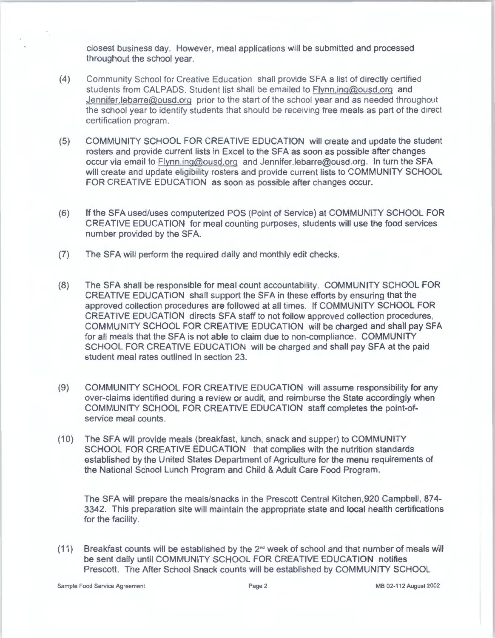closest business day. However, meal applications will be submitted and processed throughout the school year.

- (4) Community School for Creative Education shall provide SFA a list of directly certified students from CALPADS. Student list shall be emailed to Flynn.ing@ousd.org and Jennifer.lebarre@ousd.org prior to the start of the school year and as needed throughout the school year to identify students that should be receiving free meals as part of the direct certification program.
- (5) COMMUNITY SCHOOL FOR CREATIVE EDUCATION will create and update the student rosters and provide current lists in Excel to the SFA as soon as possible after changes occur via email to Flynn.ing@ousd.org and Jennifer.lebarre@ousd.org. In turn the SFA will create and update eligibility rosters and provide current lists to COMMUNITY SCHOOL FOR CREATIVE EDUCATION as soon as possible after changes occur.
- (6) If the SFA used/uses computerized POS (Point of Service) at COMMUNITY SCHOOL FOR CREATIVE EDUCATION for meal counting purposes, students will use the food services number provided by the SFA.
- (7) The SFA will perform the required daily and monthly edit checks.
- (8) The SFA shall be responsible for meal count accountability. COMMUNITY SCHOOL FOR CREATIVE EDUCATION shall support the SFA in these efforts by ensuring that the approved collection procedures are followed at all times. If COMMUNITY SCHOOL FOR CREATIVE EDUCATION directs SFA staff to not follow approved collection procedures, COMMUNITY SCHOOL FOR CREATIVE EDUCATION will be charged and shall pay SFA for all meals that the SFA is not able to claim due to non-compliance. COMMUNITY SCHOOL FOR CREATIVE EDUCATION will be charged and shall pay SFA at the paid student meal rates outlined in section 23.
- (9) COMMUNITY SCHOOL FOR CREATIVE EDUCATION will assume responsibility for any over-claims identified during a review or audit, and reimburse the State accordingly when COMMUNITY SCHOOL FOR CREATIVE EDUCATION staff completes the point-ofservice meal counts.
- (10) The SFA will provide meals (breakfast, lunch, snack and supper) to COMMUNITY SCHOOL FOR CREATIVE EDUCATION that complies with the nutrition standards established by the United States Department of Agriculture for the menu requirements of the National School Lunch Program and Child & Adult Care Food Program.

The SFA will prepare the meals/snacks in the Prescott Central Kitchen,920 Campbell, 874- 3342. This preparation site will maintain the appropriate state and local health certifications for the facility.

(11) Breakfast counts will be established by the 2"d week of school and that number of meals will be sent daily until COMMUNITY SCHOOL FOR CREATIVE EDUCATION notifies Prescott. The After School Snack counts will be established by COMMUNITY SCHOOL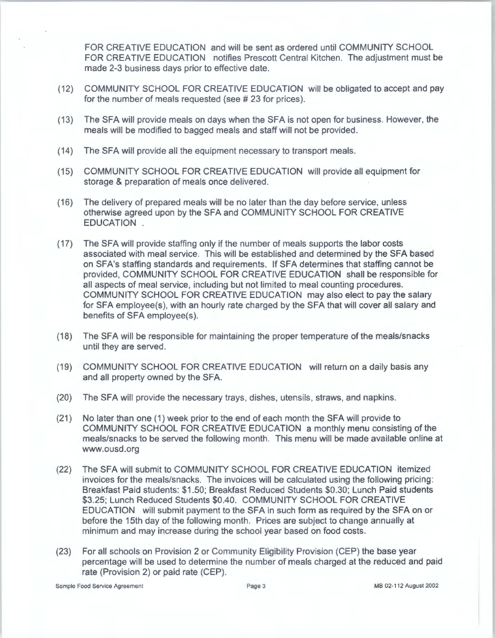FOR CREATIVE EDUCATION and will be sent as ordered until COMMUNITY SCHOOL FOR CREATIVE EDUCATION notifies Prescott Central Kitchen. The adjustment must be made 2-3 business days prior to effective date.

- (12) COMMUNITY SCHOOL FOR CREATIVE EDUCATION will be obligated to accept and pay for the number of meals requested (see #23 for prices).
- (13) The SFA will provide meals on days when the SFA is not open for business. However, the meals will be modified to bagged meals and staff will not be provided.
- (14) The SFA will provide all the equipment necessary to transport meals.
- (15) COMMUNITY SCHOOL FOR CREATIVE EDUCATION will provide all equipment for storage & preparation of meals once delivered.
- (16) The delivery of prepared meals will be no later than the day before service, unless otherwise agreed upon by the SFA and COMMUNITY SCHOOL FOR CREATIVE EDUCATION .
- (17) The SFA will provide staffing only if the number of meals supports the labor costs associated with meal service. This will be established and determined by the SFA based on SFA's staffing standards and requirements. If SFA determines that staffing cannot be provided, COMMUNITY SCHOOL FOR CREATIVE EDUCATION shall be responsible for all aspects of meal service, including but not limited to meal counting procedures. COMMUNITY SCHOOL FOR CREATIVE EDUCATION may also elect to pay the salary for SFA employee(s), with an hourly rate charged by the SFA that will cover all salary and benefits of SFA employee(s).
- (18) The SFA will be responsible for maintaining the proper temperature of the meals/snacks until they are served.
- (19) COMMUNITY SCHOOL FOR CREATIVE EDUCATION will return on a daily basis any and all property owned by the SFA.
- (20) The SFA will provide the necessary trays, dishes, utensils, straws, and napkins.
- (21) No later than one (1) week prior to the end of each month the SFA will provide to COMMUNITY SCHOOL FOR CREATIVE EDUCATION a monthly menu consisting of the meals/snacks to be served the following month. This menu will be made available online at www.ousd.org
- (22) The SFA will submit to COMMUNITY SCHOOL FOR CREATIVE EDUCATION itemized invoices for the meals/snacks. The invoices will be calculated using the following pricing: Breakfast Paid students: \$1.50; Breakfast Reduced Students \$0.30; Lunch Paid students \$3.25; Lunch Reduced Students \$0.40. COMMUNITY SCHOOL FOR CREATIVE EDUCATION will submit payment to the SFA in such form as required by the SFA on or before the 15th day of the following month. Prices are subject to change annually at minimum and may increase during the school year based on food costs.
- (23) For all schools on Provision 2 or Community Eligibility Provision (CEP) the base year percentage will be used to determine the number of meals charged at the reduced and paid rate (Provision 2) or paid rate (CEP).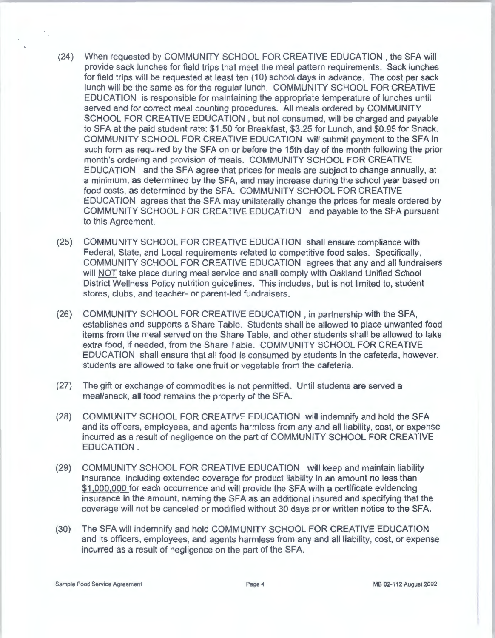- (24) When requested by COMMUNITY SCHOOL FOR CREATIVE EDUCATION, the SFA will provide sack lunches for field trips that meet the meal pattern requirements. Sack lunches for field trips will be requested at least ten (10) school days in advance. The cost per sack lunch will be the same as for the regular lunch. COMMUNITY SCHOOL FOR CREATIVE EDUCATION is responsible for maintaining the appropriate temperature of lunches until served and for correct meal counting procedures. All meals ordered by COMMUNITY SCHOOL FOR CREATIVE EDUCATION, but not consumed, will be charged and payable to SFA at the paid student rate: \$1.50 for Breakfast, \$3.25 for Lunch, and \$0.95 for Snack. COMMUNITY SCHOOL FOR CREATIVE EDUCATION will submit payment to the SFA in such form as required by the SFA on or before the 15th day of the month following the prior month's ordering and provision of meals. COMMUNITY SCHOOL FOR CREATIVE EDUCATION and the SFA agree that prices for meals are subject to change annually, at a minimum, as determined by the SFA, and may increase during the school year based on food costs, as determined by the SFA. COMMUNITY SCHOOL FOR CREATIVE EDUCATION agrees that the SFA may unilaterally change the prices for meals ordered by COMMUNITY SCHOOL FOR CREATIVE EDUCATION and payable to the SFA pursuant to this Agreement.
- (25) COMMUNITY SCHOOL FOR CREATIVE EDUCATION shall ensure compliance with Federal, State, and Local requirements related to competitive food sales. Specifically, COMMUNITY SCHOOL FOR CREATIVE EDUCATION agrees that any and all fundraisers will NOT take place during meal service and shall comply with Oakland Unified School District Wellness Policy nutrition guidelines. This includes, but is not limited to, student stores, clubs, and teacher- or parent-led fundraisers.
- (26) COMMUNITY SCHOOL FOR CREATIVE EDUCATION , in partnership with the SFA, establishes and supports a Share Table. Students shall be allowed to place unwanted food items from the meal served on the Share Table, and other students shall be allowed to take extra food, if needed, from the Share Table. COMMUNITY SCHOOL FOR CREATIVE EDUCATION shall ensure that all food is consumed by students in the cafeteria, however, students are allowed to take one fruit or vegetable from the cafeteria.
- (27) The gift or exchange of commodities is not permitted. Until students are served a meal/snack, all food remains the property of the SFA.
- (28) COMMUNITY SCHOOL FOR CREATIVE EDUCATION will indemnify and hold the SFA and its officers, employees, and agents harmless from any and all liability, cost, or expense incurred as a result of negligence on the part of COMMUNITY SCHOOL FOR CREATIVE EDUCATION.
- (29) COMMUNITY SCHOOL FOR CREATIVE EDUCATION will keep and maintain liability insurance, including extended coverage for product liability in an amount no less than \$1,000,000 for each occurrence and will provide the SFA with a certificate evidencing insurance in the amount, naming the SFA as an additional insured and specifying that the coverage will not be canceled or modified without 30 days prior written notice to the SFA.
- (30) The SFA will indemnify and hold COMMUNITY SCHOOL FOR CREATIVE EDUCATION and its officers, employees, and agents harmless from any and all liability, cost, or expense incurred as a result of negligence on the part of the SFA.